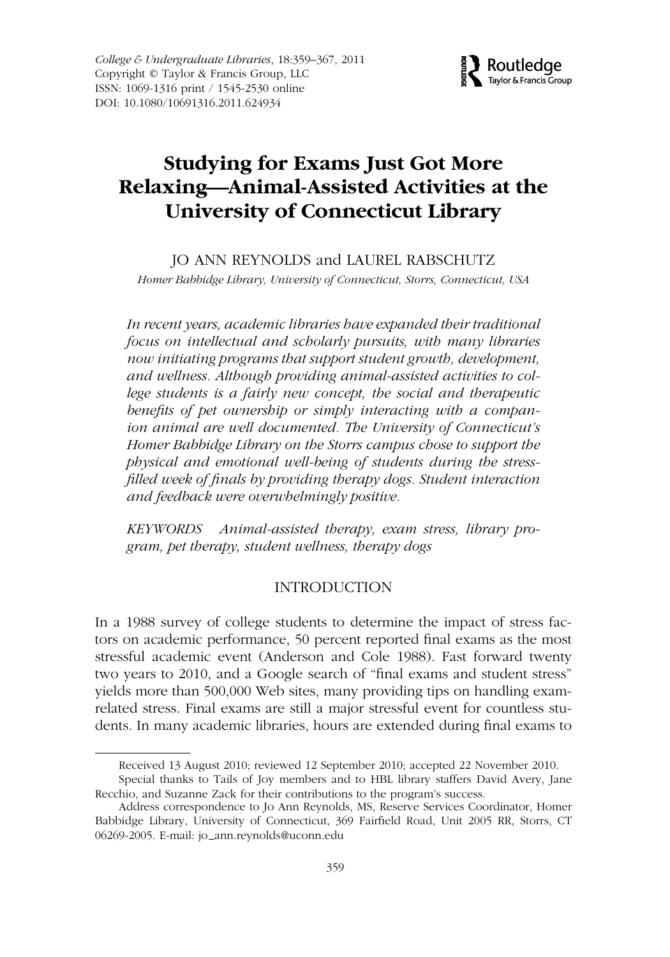

# **Studying for Exams Just Got More Relaxing—Animal-Assisted Activities at the University of Connecticut Library**

JO ANN REYNOLDS and LAUREL RABSCHUTZ

*Homer Babbidge Library, University of Connecticut, Storrs, Connecticut, USA*

*In recent years, academic libraries have expanded their traditional focus on intellectual and scholarly pursuits, with many libraries now initiating programs that support student growth, development, and wellness. Although providing animal-assisted activities to college students is a fairly new concept, the social and therapeutic benefits of pet ownership or simply interacting with a companion animal are well documented. The University of Connecticut's Homer Babbidge Library on the Storrs campus chose to support the physical and emotional well-being of students during the stressfilled week of finals by providing therapy dogs. Student interaction and feedback were overwhelmingly positive.*

*KEYWORDS Animal-assisted therapy, exam stress, library program, pet therapy, student wellness, therapy dogs*

### INTRODUCTION

In a 1988 survey of college students to determine the impact of stress factors on academic performance, 50 percent reported final exams as the most stressful academic event (Anderson and Cole 1988). Fast forward twenty two years to 2010, and a Google search of "final exams and student stress" yields more than 500,000 Web sites, many providing tips on handling examrelated stress. Final exams are still a major stressful event for countless students. In many academic libraries, hours are extended during final exams to

Received 13 August 2010; reviewed 12 September 2010; accepted 22 November 2010.

Special thanks to Tails of Joy members and to HBL library staffers David Avery, Jane Recchio, and Suzanne Zack for their contributions to the program's success.

Address correspondence to Jo Ann Reynolds, MS, Reserve Services Coordinator, Homer Babbidge Library, University of Connecticut, 369 Fairfield Road, Unit 2005 RR, Storrs, CT 06269-2005. E-mail: jo\_ann.reynolds@uconn.edu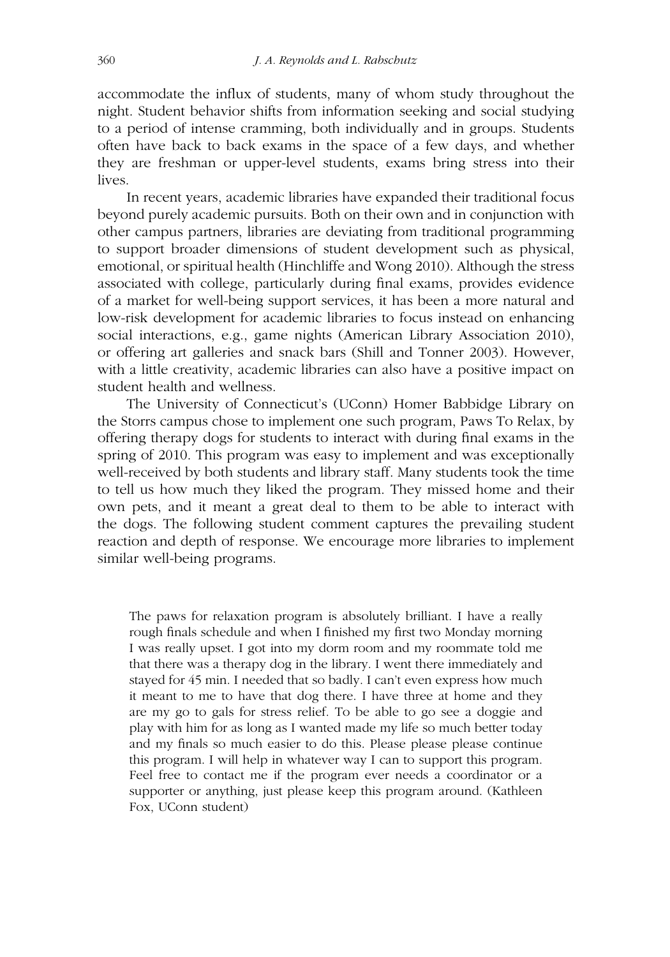accommodate the influx of students, many of whom study throughout the night. Student behavior shifts from information seeking and social studying to a period of intense cramming, both individually and in groups. Students often have back to back exams in the space of a few days, and whether they are freshman or upper-level students, exams bring stress into their lives.

In recent years, academic libraries have expanded their traditional focus beyond purely academic pursuits. Both on their own and in conjunction with other campus partners, libraries are deviating from traditional programming to support broader dimensions of student development such as physical, emotional, or spiritual health (Hinchliffe and Wong 2010). Although the stress associated with college, particularly during final exams, provides evidence of a market for well-being support services, it has been a more natural and low-risk development for academic libraries to focus instead on enhancing social interactions, e.g., game nights (American Library Association 2010), or offering art galleries and snack bars (Shill and Tonner 2003). However, with a little creativity, academic libraries can also have a positive impact on student health and wellness.

The University of Connecticut's (UConn) Homer Babbidge Library on the Storrs campus chose to implement one such program, Paws To Relax, by offering therapy dogs for students to interact with during final exams in the spring of 2010. This program was easy to implement and was exceptionally well-received by both students and library staff. Many students took the time to tell us how much they liked the program. They missed home and their own pets, and it meant a great deal to them to be able to interact with the dogs. The following student comment captures the prevailing student reaction and depth of response. We encourage more libraries to implement similar well-being programs.

The paws for relaxation program is absolutely brilliant. I have a really rough finals schedule and when I finished my first two Monday morning I was really upset. I got into my dorm room and my roommate told me that there was a therapy dog in the library. I went there immediately and stayed for 45 min. I needed that so badly. I can't even express how much it meant to me to have that dog there. I have three at home and they are my go to gals for stress relief. To be able to go see a doggie and play with him for as long as I wanted made my life so much better today and my finals so much easier to do this. Please please please continue this program. I will help in whatever way I can to support this program. Feel free to contact me if the program ever needs a coordinator or a supporter or anything, just please keep this program around. (Kathleen Fox, UConn student)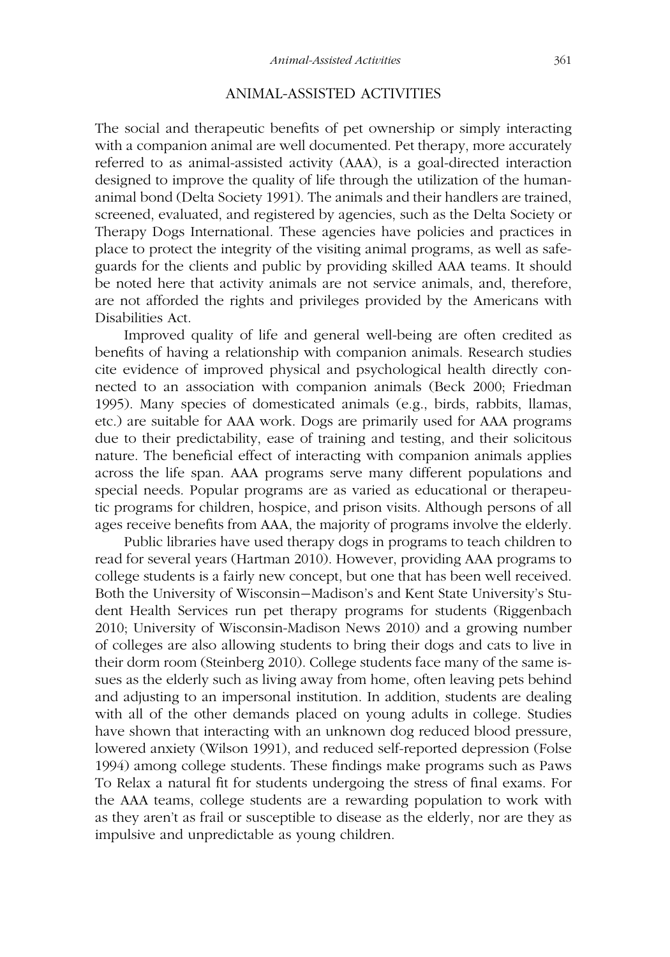### ANIMAL-ASSISTED ACTIVITIES

The social and therapeutic benefits of pet ownership or simply interacting with a companion animal are well documented. Pet therapy, more accurately referred to as animal-assisted activity (AAA), is a goal-directed interaction designed to improve the quality of life through the utilization of the humananimal bond (Delta Society 1991). The animals and their handlers are trained, screened, evaluated, and registered by agencies, such as the Delta Society or Therapy Dogs International. These agencies have policies and practices in place to protect the integrity of the visiting animal programs, as well as safeguards for the clients and public by providing skilled AAA teams. It should be noted here that activity animals are not service animals, and, therefore, are not afforded the rights and privileges provided by the Americans with Disabilities Act.

Improved quality of life and general well-being are often credited as benefits of having a relationship with companion animals. Research studies cite evidence of improved physical and psychological health directly connected to an association with companion animals (Beck 2000; Friedman 1995). Many species of domesticated animals (e.g., birds, rabbits, llamas, etc.) are suitable for AAA work. Dogs are primarily used for AAA programs due to their predictability, ease of training and testing, and their solicitous nature. The beneficial effect of interacting with companion animals applies across the life span. AAA programs serve many different populations and special needs. Popular programs are as varied as educational or therapeutic programs for children, hospice, and prison visits. Although persons of all ages receive benefits from AAA, the majority of programs involve the elderly.

Public libraries have used therapy dogs in programs to teach children to read for several years (Hartman 2010). However, providing AAA programs to college students is a fairly new concept, but one that has been well received. Both the University of Wisconsin−Madison's and Kent State University's Student Health Services run pet therapy programs for students (Riggenbach 2010; University of Wisconsin-Madison News 2010) and a growing number of colleges are also allowing students to bring their dogs and cats to live in their dorm room (Steinberg 2010). College students face many of the same issues as the elderly such as living away from home, often leaving pets behind and adjusting to an impersonal institution. In addition, students are dealing with all of the other demands placed on young adults in college. Studies have shown that interacting with an unknown dog reduced blood pressure, lowered anxiety (Wilson 1991), and reduced self-reported depression (Folse 1994) among college students. These findings make programs such as Paws To Relax a natural fit for students undergoing the stress of final exams. For the AAA teams, college students are a rewarding population to work with as they aren't as frail or susceptible to disease as the elderly, nor are they as impulsive and unpredictable as young children.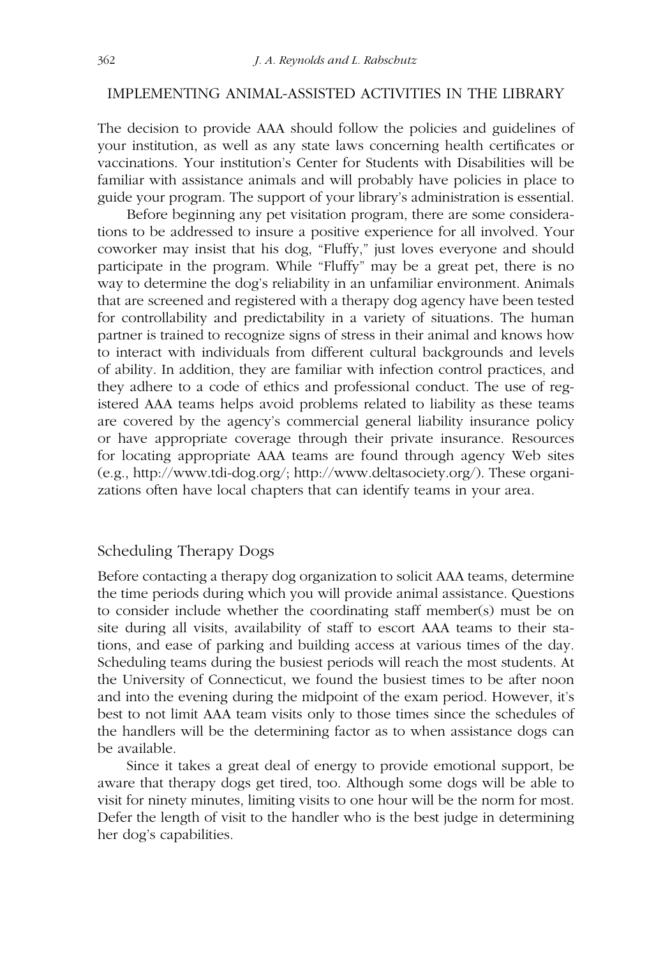### IMPLEMENTING ANIMAL-ASSISTED ACTIVITIES IN THE LIBRARY

The decision to provide AAA should follow the policies and guidelines of your institution, as well as any state laws concerning health certificates or vaccinations. Your institution's Center for Students with Disabilities will be familiar with assistance animals and will probably have policies in place to guide your program. The support of your library's administration is essential.

Before beginning any pet visitation program, there are some considerations to be addressed to insure a positive experience for all involved. Your coworker may insist that his dog, "Fluffy," just loves everyone and should participate in the program. While "Fluffy" may be a great pet, there is no way to determine the dog's reliability in an unfamiliar environment. Animals that are screened and registered with a therapy dog agency have been tested for controllability and predictability in a variety of situations. The human partner is trained to recognize signs of stress in their animal and knows how to interact with individuals from different cultural backgrounds and levels of ability. In addition, they are familiar with infection control practices, and they adhere to a code of ethics and professional conduct. The use of registered AAA teams helps avoid problems related to liability as these teams are covered by the agency's commercial general liability insurance policy or have appropriate coverage through their private insurance. Resources for locating appropriate AAA teams are found through agency Web sites (e.g., http://www.tdi-dog.org/; http://www.deltasociety.org/). These organizations often have local chapters that can identify teams in your area.

### Scheduling Therapy Dogs

Before contacting a therapy dog organization to solicit AAA teams, determine the time periods during which you will provide animal assistance. Questions to consider include whether the coordinating staff member(s) must be on site during all visits, availability of staff to escort AAA teams to their stations, and ease of parking and building access at various times of the day. Scheduling teams during the busiest periods will reach the most students. At the University of Connecticut, we found the busiest times to be after noon and into the evening during the midpoint of the exam period. However, it's best to not limit AAA team visits only to those times since the schedules of the handlers will be the determining factor as to when assistance dogs can be available.

Since it takes a great deal of energy to provide emotional support, be aware that therapy dogs get tired, too. Although some dogs will be able to visit for ninety minutes, limiting visits to one hour will be the norm for most. Defer the length of visit to the handler who is the best judge in determining her dog's capabilities.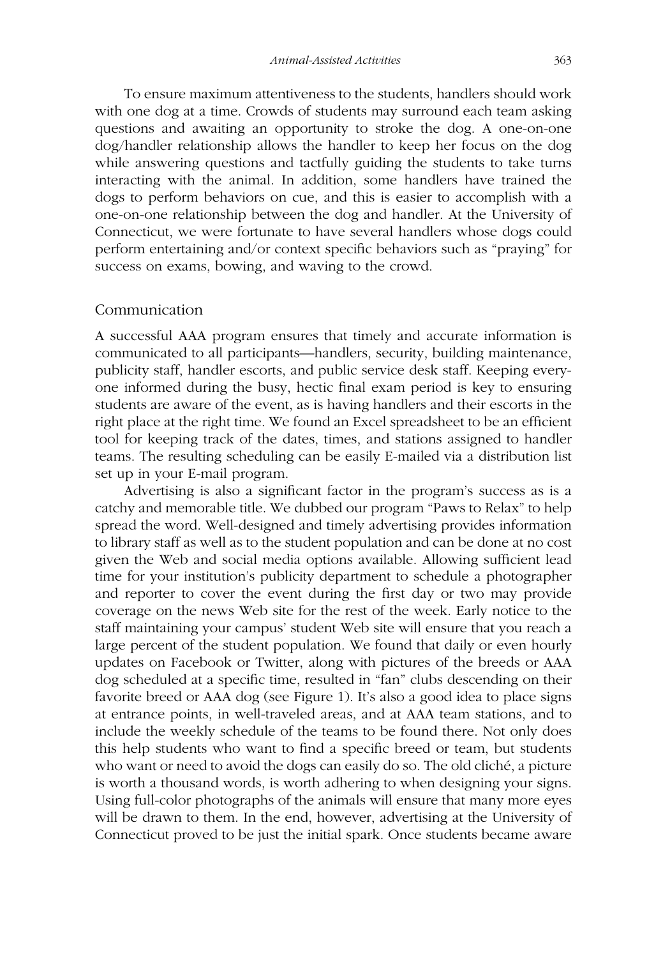To ensure maximum attentiveness to the students, handlers should work with one dog at a time. Crowds of students may surround each team asking questions and awaiting an opportunity to stroke the dog. A one-on-one dog/handler relationship allows the handler to keep her focus on the dog while answering questions and tactfully guiding the students to take turns interacting with the animal. In addition, some handlers have trained the dogs to perform behaviors on cue, and this is easier to accomplish with a one-on-one relationship between the dog and handler. At the University of Connecticut, we were fortunate to have several handlers whose dogs could perform entertaining and/or context specific behaviors such as "praying" for success on exams, bowing, and waving to the crowd.

### Communication

A successful AAA program ensures that timely and accurate information is communicated to all participants—handlers, security, building maintenance, publicity staff, handler escorts, and public service desk staff. Keeping everyone informed during the busy, hectic final exam period is key to ensuring students are aware of the event, as is having handlers and their escorts in the right place at the right time. We found an Excel spreadsheet to be an efficient tool for keeping track of the dates, times, and stations assigned to handler teams. The resulting scheduling can be easily E-mailed via a distribution list set up in your E-mail program.

Advertising is also a significant factor in the program's success as is a catchy and memorable title. We dubbed our program "Paws to Relax" to help spread the word. Well-designed and timely advertising provides information to library staff as well as to the student population and can be done at no cost given the Web and social media options available. Allowing sufficient lead time for your institution's publicity department to schedule a photographer and reporter to cover the event during the first day or two may provide coverage on the news Web site for the rest of the week. Early notice to the staff maintaining your campus' student Web site will ensure that you reach a large percent of the student population. We found that daily or even hourly updates on Facebook or Twitter, along with pictures of the breeds or AAA dog scheduled at a specific time, resulted in "fan" clubs descending on their favorite breed or AAA dog (see Figure 1). It's also a good idea to place signs at entrance points, in well-traveled areas, and at AAA team stations, and to include the weekly schedule of the teams to be found there. Not only does this help students who want to find a specific breed or team, but students who want or need to avoid the dogs can easily do so. The old cliché, a picture is worth a thousand words, is worth adhering to when designing your signs. Using full-color photographs of the animals will ensure that many more eyes will be drawn to them. In the end, however, advertising at the University of Connecticut proved to be just the initial spark. Once students became aware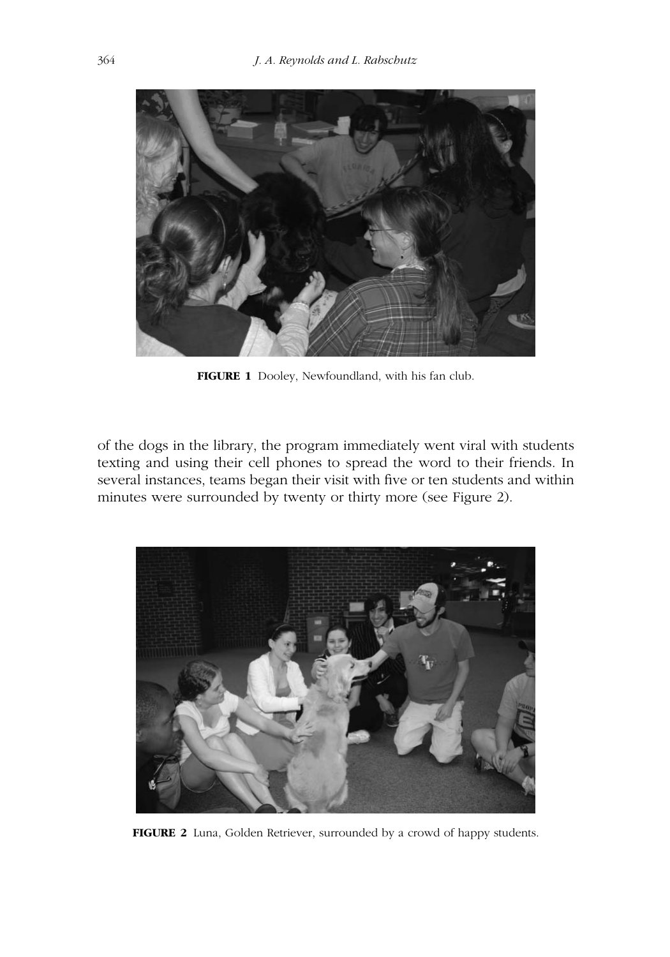

**FIGURE 1** Dooley, Newfoundland, with his fan club.

of the dogs in the library, the program immediately went viral with students texting and using their cell phones to spread the word to their friends. In several instances, teams began their visit with five or ten students and within minutes were surrounded by twenty or thirty more (see Figure 2).



FIGURE 2 Luna, Golden Retriever, surrounded by a crowd of happy students.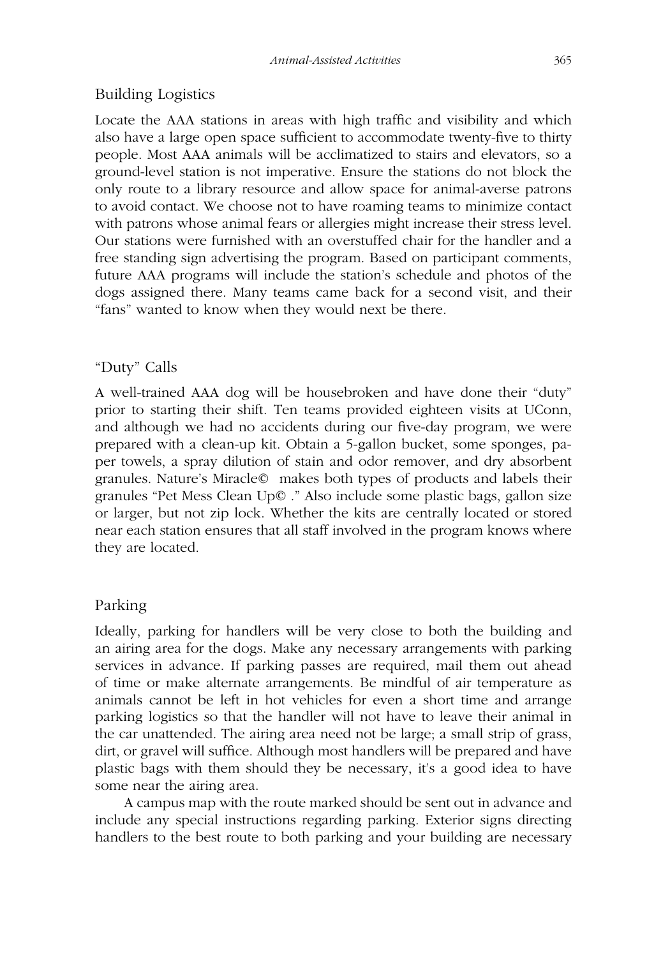### Building Logistics

Locate the AAA stations in areas with high traffic and visibility and which also have a large open space sufficient to accommodate twenty-five to thirty people. Most AAA animals will be acclimatized to stairs and elevators, so a ground-level station is not imperative. Ensure the stations do not block the only route to a library resource and allow space for animal-averse patrons to avoid contact. We choose not to have roaming teams to minimize contact with patrons whose animal fears or allergies might increase their stress level. Our stations were furnished with an overstuffed chair for the handler and a free standing sign advertising the program. Based on participant comments, future AAA programs will include the station's schedule and photos of the dogs assigned there. Many teams came back for a second visit, and their "fans" wanted to know when they would next be there.

# "Duty" Calls

A well-trained AAA dog will be housebroken and have done their "duty" prior to starting their shift. Ten teams provided eighteen visits at UConn, and although we had no accidents during our five-day program, we were prepared with a clean-up kit. Obtain a 5-gallon bucket, some sponges, paper towels, a spray dilution of stain and odor remover, and dry absorbent granules. Nature's Miracle© makes both types of products and labels their granules "Pet Mess Clean Up© ." Also include some plastic bags, gallon size or larger, but not zip lock. Whether the kits are centrally located or stored near each station ensures that all staff involved in the program knows where they are located.

### Parking

Ideally, parking for handlers will be very close to both the building and an airing area for the dogs. Make any necessary arrangements with parking services in advance. If parking passes are required, mail them out ahead of time or make alternate arrangements. Be mindful of air temperature as animals cannot be left in hot vehicles for even a short time and arrange parking logistics so that the handler will not have to leave their animal in the car unattended. The airing area need not be large; a small strip of grass, dirt, or gravel will suffice. Although most handlers will be prepared and have plastic bags with them should they be necessary, it's a good idea to have some near the airing area.

A campus map with the route marked should be sent out in advance and include any special instructions regarding parking. Exterior signs directing handlers to the best route to both parking and your building are necessary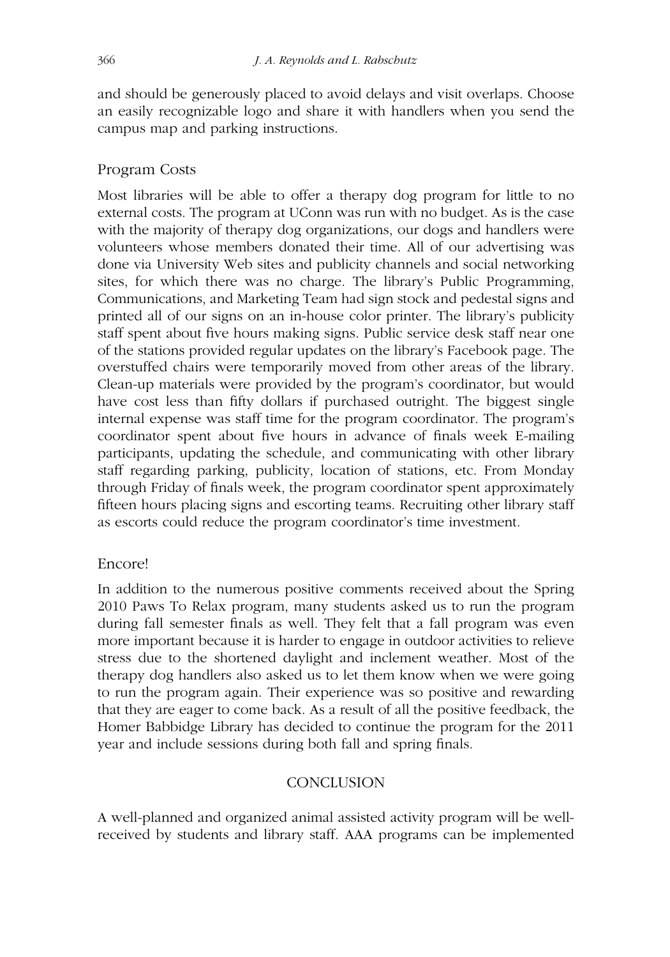and should be generously placed to avoid delays and visit overlaps. Choose an easily recognizable logo and share it with handlers when you send the campus map and parking instructions.

# Program Costs

Most libraries will be able to offer a therapy dog program for little to no external costs. The program at UConn was run with no budget. As is the case with the majority of therapy dog organizations, our dogs and handlers were volunteers whose members donated their time. All of our advertising was done via University Web sites and publicity channels and social networking sites, for which there was no charge. The library's Public Programming, Communications, and Marketing Team had sign stock and pedestal signs and printed all of our signs on an in-house color printer. The library's publicity staff spent about five hours making signs. Public service desk staff near one of the stations provided regular updates on the library's Facebook page. The overstuffed chairs were temporarily moved from other areas of the library. Clean-up materials were provided by the program's coordinator, but would have cost less than fifty dollars if purchased outright. The biggest single internal expense was staff time for the program coordinator. The program's coordinator spent about five hours in advance of finals week E-mailing participants, updating the schedule, and communicating with other library staff regarding parking, publicity, location of stations, etc. From Monday through Friday of finals week, the program coordinator spent approximately fifteen hours placing signs and escorting teams. Recruiting other library staff as escorts could reduce the program coordinator's time investment.

# Encore!

In addition to the numerous positive comments received about the Spring 2010 Paws To Relax program, many students asked us to run the program during fall semester finals as well. They felt that a fall program was even more important because it is harder to engage in outdoor activities to relieve stress due to the shortened daylight and inclement weather. Most of the therapy dog handlers also asked us to let them know when we were going to run the program again. Their experience was so positive and rewarding that they are eager to come back. As a result of all the positive feedback, the Homer Babbidge Library has decided to continue the program for the 2011 year and include sessions during both fall and spring finals.

# **CONCLUSION**

A well-planned and organized animal assisted activity program will be wellreceived by students and library staff. AAA programs can be implemented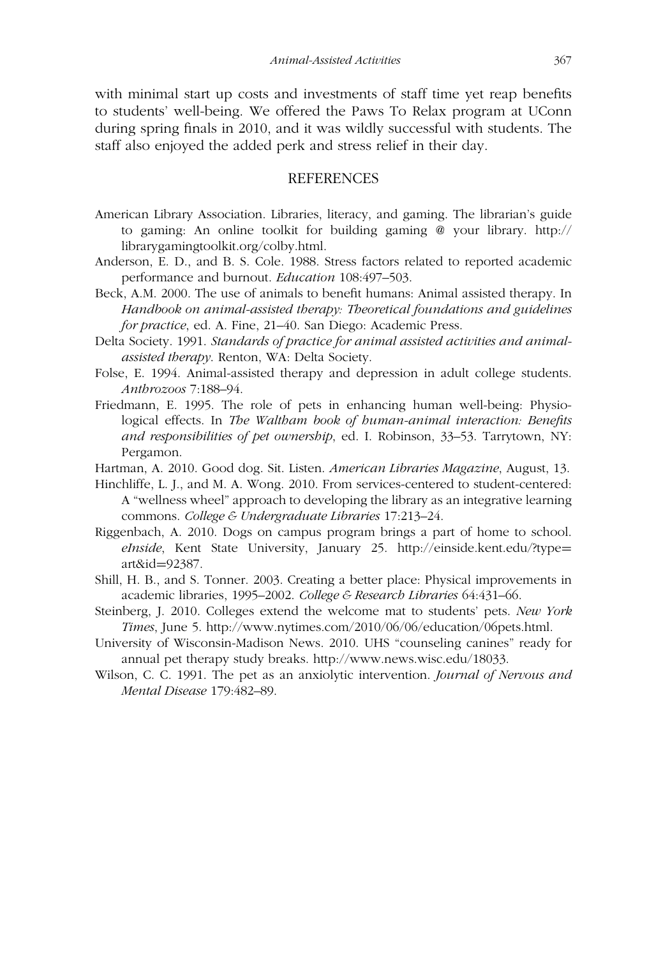with minimal start up costs and investments of staff time yet reap benefits to students' well-being. We offered the Paws To Relax program at UConn during spring finals in 2010, and it was wildly successful with students. The staff also enjoyed the added perk and stress relief in their day.

#### REFERENCES

- American Library Association. Libraries, literacy, and gaming. The librarian's guide to gaming: An online toolkit for building gaming @ your library. http:// librarygamingtoolkit.org/colby.html.
- Anderson, E. D., and B. S. Cole. 1988. Stress factors related to reported academic performance and burnout. *Education* 108:497–503.
- Beck, A.M. 2000. The use of animals to benefit humans: Animal assisted therapy. In *Handbook on animal-assisted therapy: Theoretical foundations and guidelines for practice*, ed. A. Fine, 21–40. San Diego: Academic Press.
- Delta Society. 1991. *Standards of practice for animal assisted activities and animalassisted therapy*. Renton, WA: Delta Society.
- Folse, E. 1994. Animal-assisted therapy and depression in adult college students. *Anthrozoos* 7:188–94.
- Friedmann, E. 1995. The role of pets in enhancing human well-being: Physiological effects. In *The Waltham book of human-animal interaction: Benefits and responsibilities of pet ownership*, ed. I. Robinson, 33–53. Tarrytown, NY: Pergamon.
- Hartman, A. 2010. Good dog. Sit. Listen. *American Libraries Magazine*, August, 13.
- Hinchliffe, L. J., and M. A. Wong. 2010. From services-centered to student-centered: A "wellness wheel" approach to developing the library as an integrative learning commons. *College & Undergraduate Libraries* 17:213–24.
- Riggenbach, A. 2010. Dogs on campus program brings a part of home to school. *eInside*, Kent State University, January 25. http://einside.kent.edu/?type= art&id=92387.
- Shill, H. B., and S. Tonner. 2003. Creating a better place: Physical improvements in academic libraries, 1995–2002. *College & Research Libraries* 64:431–66.
- Steinberg, J. 2010. Colleges extend the welcome mat to students' pets. *New York Times*, June 5. http://www.nytimes.com/2010/06/06/education/06pets.html.
- University of Wisconsin-Madison News. 2010. UHS "counseling canines" ready for annual pet therapy study breaks. http://www.news.wisc.edu/18033.
- Wilson, C. C. 1991. The pet as an anxiolytic intervention. *Journal of Nervous and Mental Disease* 179:482–89.